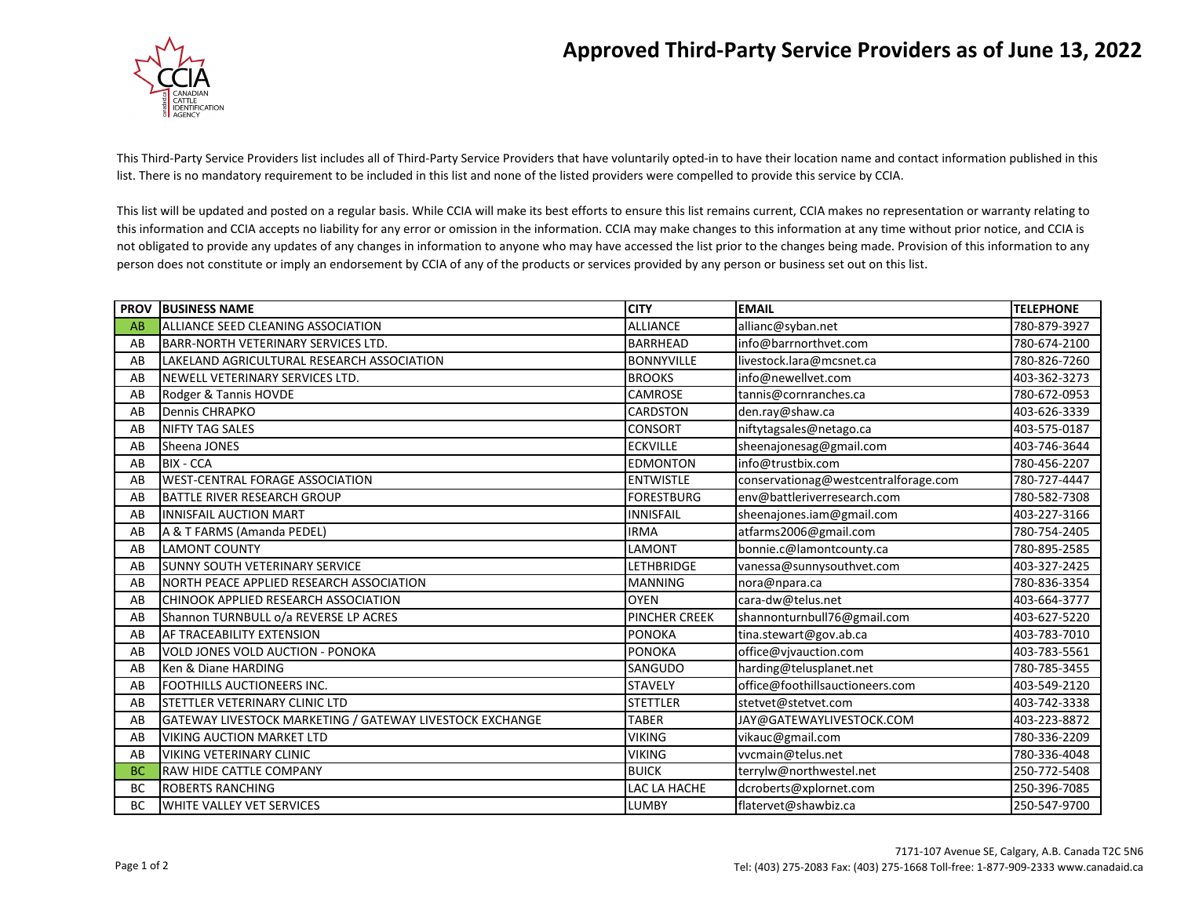## **Approved Third-Party Service Providers as of June 13, 2022**



This Third-Party Service Providers list includes all of Third-Party Service Providers that have voluntarily opted-in to have their location name and contact information published in this list. There is no mandatory requirement to be included in this list and none of the listed providers were compelled to provide this service by CCIA.

This list will be updated and posted on a regular basis. While CCIA will make its best efforts to ensure this list remains current, CCIA makes no representation or warranty relating to this information and CCIA accepts no liability for any error or omission in the information. CCIA may make changes to this information at any time without prior notice, and CCIA is not obligated to provide any updates of any changes in information to anyone who may have accessed the list prior to the changes being made. Provision of this information to any person does not constitute or imply an endorsement by CCIA of any of the products or services provided by any person or business set out on this list.

| <b>PROV</b> | <b>BUSINESS NAME</b>                                     | <b>CITY</b>          | <b>EMAIL</b>                         | <b>TELEPHONE</b> |
|-------------|----------------------------------------------------------|----------------------|--------------------------------------|------------------|
| AB          | ALLIANCE SEED CLEANING ASSOCIATION                       | <b>ALLIANCE</b>      | allianc@syban.net                    | 780-879-3927     |
| AB          | <b>BARR-NORTH VETERINARY SERVICES LTD.</b>               | <b>BARRHEAD</b>      | info@barrnorthvet.com                | 780-674-2100     |
| AB          | LAKELAND AGRICULTURAL RESEARCH ASSOCIATION               | <b>BONNYVILLE</b>    | livestock.lara@mcsnet.ca             | 780-826-7260     |
| AB          | NEWELL VETERINARY SERVICES LTD.                          | <b>BROOKS</b>        | info@newellvet.com                   | 403-362-3273     |
| AB          | Rodger & Tannis HOVDE                                    | CAMROSE              | tannis@cornranches.ca                | 780-672-0953     |
| AB          | <b>Dennis CHRAPKO</b>                                    | CARDSTON             | den.ray@shaw.ca                      | 403-626-3339     |
| AB          | <b>NIFTY TAG SALES</b>                                   | CONSORT              | niftytagsales@netago.ca              | 403-575-0187     |
| AB          | Sheena JONES                                             | <b>ECKVILLE</b>      | sheenajonesag@gmail.com              | 403-746-3644     |
| AB          | <b>BIX - CCA</b>                                         | <b>EDMONTON</b>      | info@trustbix.com                    | 780-456-2207     |
| AB          | <b>WEST-CENTRAL FORAGE ASSOCIATION</b>                   | <b>ENTWISTLE</b>     | conservationag@westcentralforage.com | 780-727-4447     |
| AB          | BATTLE RIVER RESEARCH GROUP                              | <b>FORESTBURG</b>    | env@battleriverresearch.com          | 780-582-7308     |
| AB          | <b>INNISFAIL AUCTION MART</b>                            | <b>INNISFAIL</b>     | sheenajones.iam@gmail.com            | 403-227-3166     |
| AB          | A & T FARMS (Amanda PEDEL)                               | <b>IRMA</b>          | atfarms2006@gmail.com                | 780-754-2405     |
| AB          | <b>LAMONT COUNTY</b>                                     | LAMONT               | bonnie.c@lamontcounty.ca             | 780-895-2585     |
| AB          | SUNNY SOUTH VETERINARY SERVICE                           | <b>LETHBRIDGE</b>    | vanessa@sunnysouthvet.com            | 403-327-2425     |
| AB          | NORTH PEACE APPLIED RESEARCH ASSOCIATION                 | <b>MANNING</b>       | nora@npara.ca                        | 780-836-3354     |
| AB          | CHINOOK APPLIED RESEARCH ASSOCIATION                     | <b>OYEN</b>          | cara-dw@telus.net                    | 403-664-3777     |
| AB          | Shannon TURNBULL o/a REVERSE LP ACRES                    | <b>PINCHER CREEK</b> | shannonturnbull76@gmail.com          | 403-627-5220     |
| AB          | AF TRACEABILITY EXTENSION                                | <b>PONOKA</b>        | tina.stewart@gov.ab.ca               | 403-783-7010     |
| AB          | <b>VOLD JONES VOLD AUCTION - PONOKA</b>                  | <b>PONOKA</b>        | office@vjvauction.com                | 403-783-5561     |
| AB          | Ken & Diane HARDING                                      | SANGUDO              | harding@telusplanet.net              | 780-785-3455     |
| AB          | <b>FOOTHILLS AUCTIONEERS INC.</b>                        | <b>STAVELY</b>       | office@foothillsauctioneers.com      | 403-549-2120     |
| AB          | STETTLER VETERINARY CLINIC LTD                           | <b>STETTLER</b>      | stetvet@stetvet.com                  | 403-742-3338     |
| AB          | GATEWAY LIVESTOCK MARKETING / GATEWAY LIVESTOCK EXCHANGE | <b>TABER</b>         | JAY@GATEWAYLIVESTOCK.COM             | 403-223-8872     |
| AB          | <b>VIKING AUCTION MARKET LTD</b>                         | <b>VIKING</b>        | vikauc@gmail.com                     | 780-336-2209     |
| AB          | <b>VIKING VETERINARY CLINIC</b>                          | <b>VIKING</b>        | vvcmain@telus.net                    | 780-336-4048     |
| <b>BC</b>   | RAW HIDE CATTLE COMPANY                                  | <b>BUICK</b>         | terrylw@northwestel.net              | 250-772-5408     |
| <b>BC</b>   | <b>ROBERTS RANCHING</b>                                  | LAC LA HACHE         | dcroberts@xplornet.com               | 250-396-7085     |
| <b>BC</b>   | WHITE VALLEY VET SERVICES                                | <b>LUMBY</b>         | flatervet@shawbiz.ca                 | 250-547-9700     |